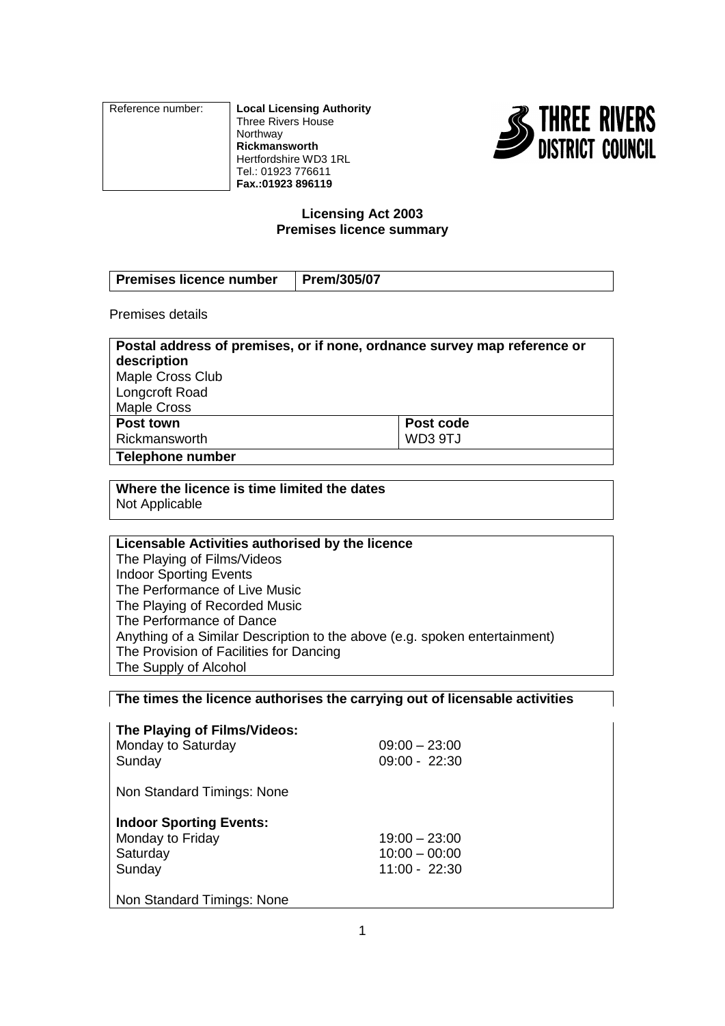| Reference number: | <b>Local Licensing Authority</b><br>Three Rivers House<br>Northway<br>Rickmansworth<br>Hertfordshire WD3 1RL<br>Tel.: 01923 776611 |
|-------------------|------------------------------------------------------------------------------------------------------------------------------------|
|                   | Fax.: 01923 896119                                                                                                                 |



# **Licensing Act 2003 Premises licence summary**

| Premises licence number | Prem/305/07 |
|-------------------------|-------------|

Premises details

| Postal address of premises, or if none, ordnance survey map reference or |           |
|--------------------------------------------------------------------------|-----------|
| description                                                              |           |
| Maple Cross Club                                                         |           |
| Longcroft Road                                                           |           |
| <b>Maple Cross</b>                                                       |           |
| Post town                                                                | Post code |
| Rickmansworth                                                            | WD3 9TJ   |
| <b>Telephone number</b>                                                  |           |

**Where the licence is time limited the dates** Not Applicable

| Licensable Activities authorised by the licence                            |
|----------------------------------------------------------------------------|
| The Playing of Films/Videos                                                |
| <b>Indoor Sporting Events</b>                                              |
| The Performance of Live Music                                              |
| The Playing of Recorded Music                                              |
| The Performance of Dance                                                   |
| Anything of a Similar Description to the above (e.g. spoken entertainment) |
| The Provision of Facilities for Dancing                                    |
| The Supply of Alcohol                                                      |

**The times the licence authorises the carrying out of licensable activities**

| The Playing of Films/Videos:<br>Monday to Saturday<br>Sunday             | $09:00 - 23:00$<br>$09:00 - 22:30$                    |
|--------------------------------------------------------------------------|-------------------------------------------------------|
| Non Standard Timings: None                                               |                                                       |
| <b>Indoor Sporting Events:</b><br>Monday to Friday<br>Saturday<br>Sunday | $19:00 - 23:00$<br>$10:00 - 00:00$<br>$11:00 - 22:30$ |
| Non Standard Timings: None                                               |                                                       |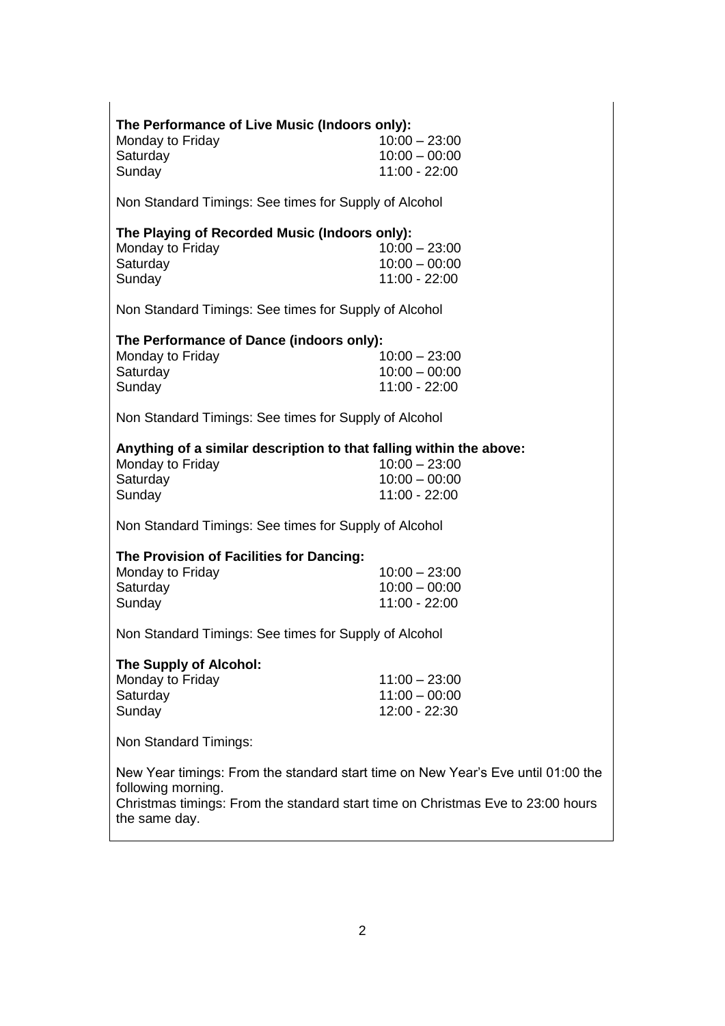| The Performance of Live Music (Indoors only):<br>Monday to Friday<br>Saturday<br>Sunday                                                                                                                    | $10:00 - 23:00$<br>$10:00 - 00:00$<br>11:00 - 22:00   |  |
|------------------------------------------------------------------------------------------------------------------------------------------------------------------------------------------------------------|-------------------------------------------------------|--|
| Non Standard Timings: See times for Supply of Alcohol                                                                                                                                                      |                                                       |  |
| The Playing of Recorded Music (Indoors only):<br>Monday to Friday<br>Saturday<br>Sunday                                                                                                                    | $10:00 - 23:00$<br>$10:00 - 00:00$<br>$11:00 - 22:00$ |  |
| Non Standard Timings: See times for Supply of Alcohol                                                                                                                                                      |                                                       |  |
| The Performance of Dance (indoors only):<br>Monday to Friday<br>Saturday<br>Sunday                                                                                                                         | $10:00 - 23:00$<br>$10:00 - 00:00$<br>$11:00 - 22:00$ |  |
| Non Standard Timings: See times for Supply of Alcohol                                                                                                                                                      |                                                       |  |
| Anything of a similar description to that falling within the above:<br>Monday to Friday<br>Saturday<br>Sunday                                                                                              | $10:00 - 23:00$<br>$10:00 - 00:00$<br>11:00 - 22:00   |  |
| Non Standard Timings: See times for Supply of Alcohol                                                                                                                                                      |                                                       |  |
| The Provision of Facilities for Dancing:<br>Monday to Friday<br>Saturday<br>Sunday                                                                                                                         | $10:00 - 23:00$<br>$10:00 - 00:00$<br>11:00 - 22:00   |  |
| Non Standard Timings: See times for Supply of Alcohol                                                                                                                                                      |                                                       |  |
| The Supply of Alcohol:<br>Monday to Friday<br>Saturday<br>Sunday                                                                                                                                           | $11:00 - 23:00$<br>$11:00 - 00:00$<br>12:00 - 22:30   |  |
| Non Standard Timings:                                                                                                                                                                                      |                                                       |  |
| New Year timings: From the standard start time on New Year's Eve until 01:00 the<br>following morning.<br>Christmas timings: From the standard start time on Christmas Eve to 23:00 hours<br>the same day. |                                                       |  |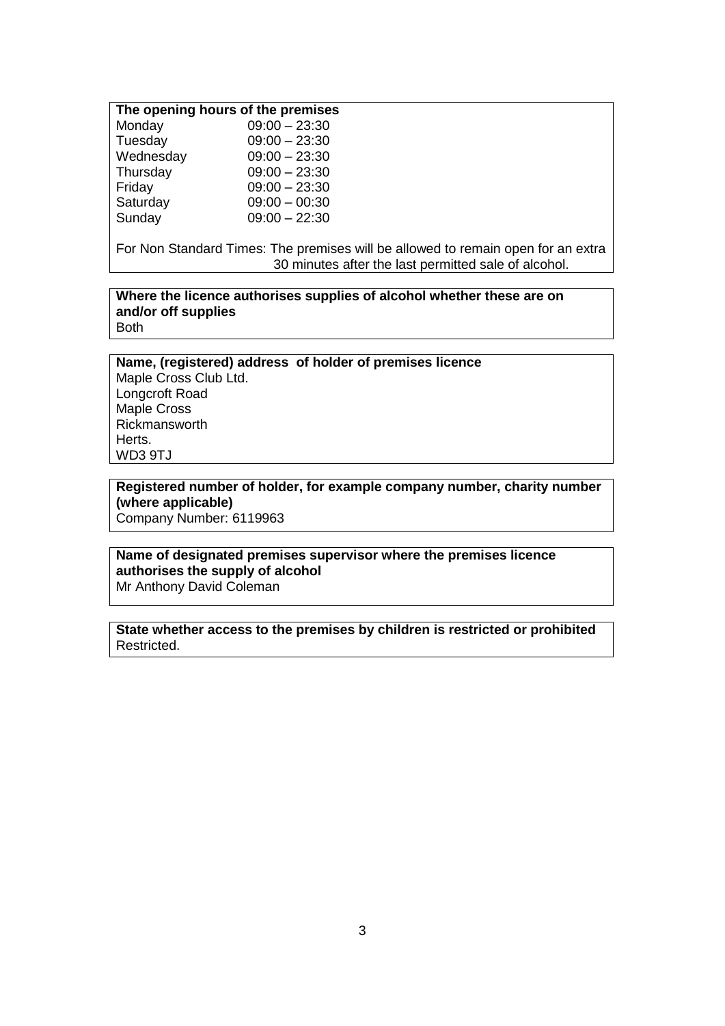#### **The opening hours of the premises**

| Monday    | $09:00 - 23:30$ |
|-----------|-----------------|
| Tuesday   | $09:00 - 23:30$ |
| Wednesday | $09:00 - 23:30$ |
| Thursday  | $09:00 - 23:30$ |
| Friday    | $09:00 - 23:30$ |
| Saturday  | $09:00 - 00:30$ |
| Sunday    | $09:00 - 22:30$ |

For Non Standard Times: The premises will be allowed to remain open for an extra 30 minutes after the last permitted sale of alcohol.

#### **Where the licence authorises supplies of alcohol whether these are on and/or off supplies** Both

#### **Name, (registered) address of holder of premises licence** Maple Cross Club Ltd. Longcroft Road Maple Cross Rickmansworth Herts. WD3 9TJ

# **Registered number of holder, for example company number, charity number (where applicable)**

Company Number: 6119963

#### **Name of designated premises supervisor where the premises licence authorises the supply of alcohol** Mr Anthony David Coleman

### **State whether access to the premises by children is restricted or prohibited** Restricted.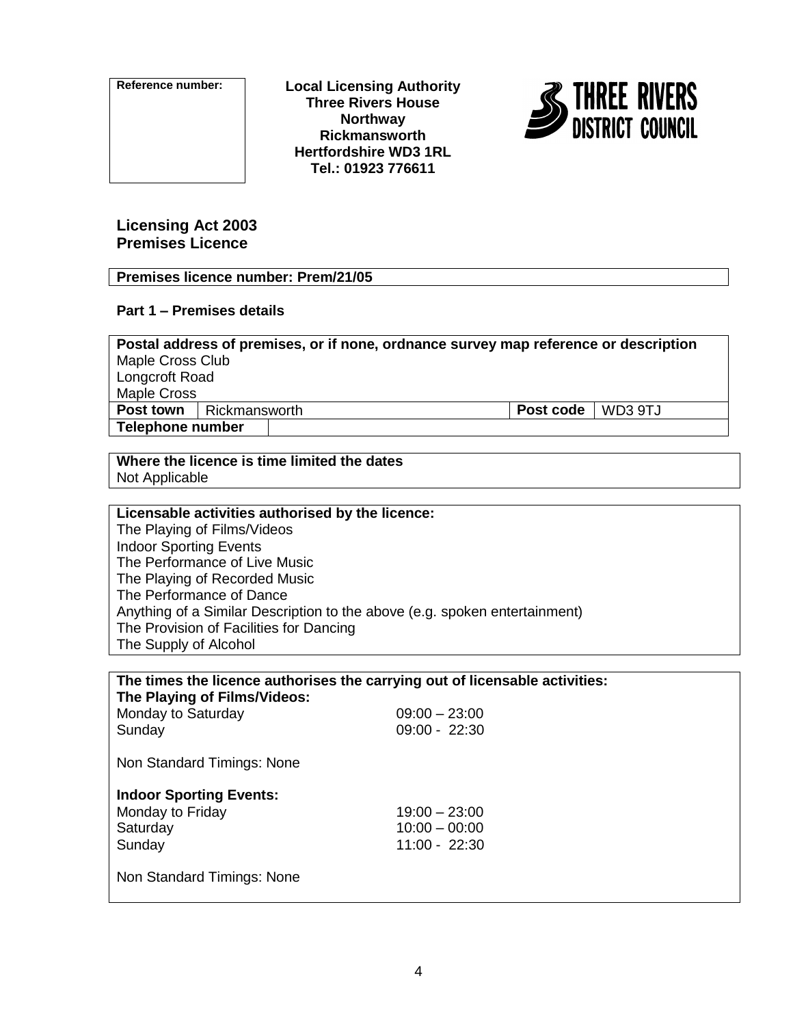**Reference number: Local Licensing Authority Three Rivers House Northway Rickmansworth Hertfordshire WD3 1RL Tel.: 01923 776611**



**Licensing Act 2003 Premises Licence**

#### **Premises licence number: Prem/21/05**

# **Part 1 – Premises details**

|                    |               | Postal address of premises, or if none, ordnance survey map reference or description |                            |  |
|--------------------|---------------|--------------------------------------------------------------------------------------|----------------------------|--|
| Maple Cross Club   |               |                                                                                      |                            |  |
| Longcroft Road     |               |                                                                                      |                            |  |
| <b>Maple Cross</b> |               |                                                                                      |                            |  |
| <b>Post town</b>   | Rickmansworth |                                                                                      | <b>Post code</b>   WD3 9TJ |  |
| Telephone number   |               |                                                                                      |                            |  |
|                    |               |                                                                                      |                            |  |

#### **Where the licence is time limited the dates** Not Applicable

# **Licensable activities authorised by the licence:** The Playing of Films/Videos Indoor Sporting Events The Performance of Live Music The Playing of Recorded Music The Performance of Dance Anything of a Similar Description to the above (e.g. spoken entertainment) The Provision of Facilities for Dancing The Supply of Alcohol

#### **The times the licence authorises the carrying out of licensable activities: The Playing of Films/Videos:**

| Monday to Saturday<br>Sunday                                   | $09:00 - 23:00$<br>$09:00 - 22:30$ |
|----------------------------------------------------------------|------------------------------------|
| Non Standard Timings: None                                     |                                    |
| <b>Indoor Sporting Events:</b><br>Monday to Friday<br>Saturday | $19:00 - 23:00$<br>$10:00 - 00:00$ |
| Sunday<br>Non Standard Timings: None                           | 11:00 - 22:30                      |
|                                                                |                                    |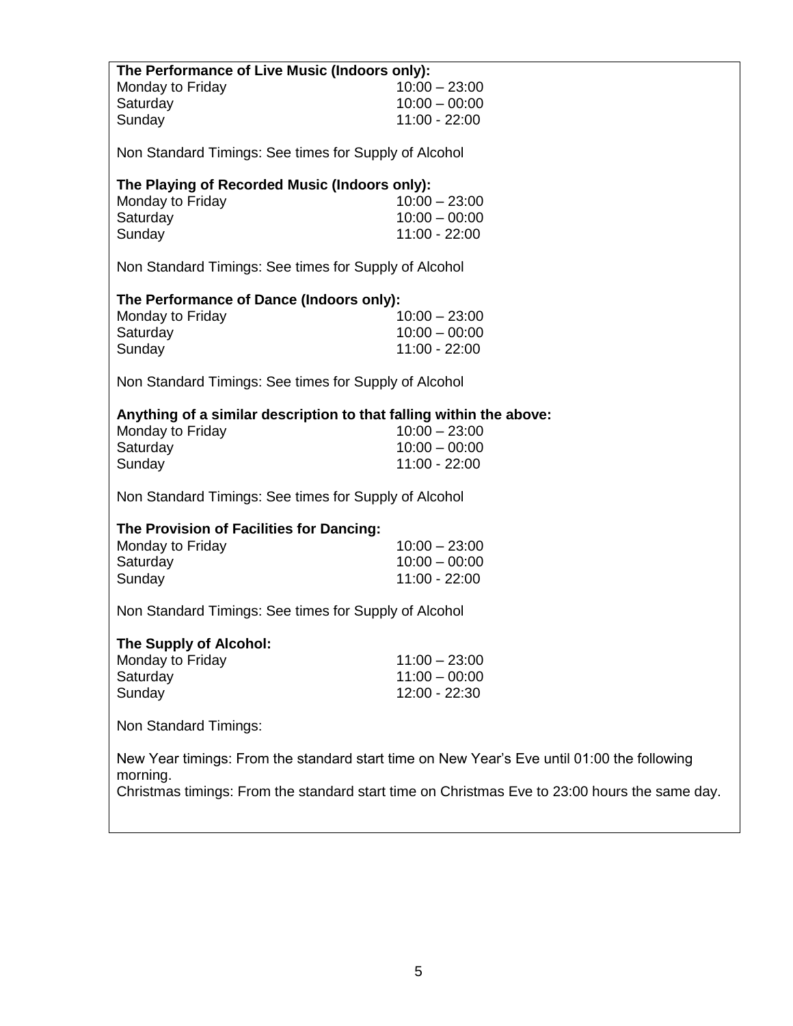| The Performance of Live Music (Indoors only):                       |                                                                                               |
|---------------------------------------------------------------------|-----------------------------------------------------------------------------------------------|
| Monday to Friday                                                    | $10:00 - 23:00$                                                                               |
| Saturday                                                            | $10:00 - 00:00$                                                                               |
| Sunday                                                              | $11:00 - 22:00$                                                                               |
| Non Standard Timings: See times for Supply of Alcohol               |                                                                                               |
|                                                                     |                                                                                               |
| The Playing of Recorded Music (Indoors only):                       |                                                                                               |
| Monday to Friday                                                    | $10:00 - 23:00$                                                                               |
| Saturday                                                            | $10:00 - 00:00$                                                                               |
| Sunday                                                              | $11:00 - 22:00$                                                                               |
| Non Standard Timings: See times for Supply of Alcohol               |                                                                                               |
| The Performance of Dance (Indoors only):                            |                                                                                               |
| Monday to Friday                                                    | $10:00 - 23:00$                                                                               |
| Saturday                                                            | $10:00 - 00:00$                                                                               |
| Sunday                                                              | 11:00 - 22:00                                                                                 |
|                                                                     |                                                                                               |
| Non Standard Timings: See times for Supply of Alcohol               |                                                                                               |
| Anything of a similar description to that falling within the above: |                                                                                               |
| Monday to Friday                                                    | $10:00 - 23:00$                                                                               |
| Saturday                                                            | $10:00 - 00:00$                                                                               |
| Sunday                                                              | 11:00 - 22:00                                                                                 |
|                                                                     |                                                                                               |
| Non Standard Timings: See times for Supply of Alcohol               |                                                                                               |
| The Provision of Facilities for Dancing:                            |                                                                                               |
| Monday to Friday                                                    | $10:00 - 23:00$                                                                               |
| Saturday                                                            | $10:00 - 00:00$                                                                               |
| Sunday                                                              | $11:00 - 22:00$                                                                               |
|                                                                     |                                                                                               |
| Non Standard Timings: See times for Supply of Alcohol               |                                                                                               |
| The Supply of Alcohol:                                              |                                                                                               |
| Monday to Friday                                                    | $11:00 - 23:00$                                                                               |
| Saturday                                                            | $11:00 - 00:00$                                                                               |
| Sunday                                                              | 12:00 - 22:30                                                                                 |
| Non Standard Timings:                                               |                                                                                               |
| morning.                                                            | New Year timings: From the standard start time on New Year's Eve until 01:00 the following    |
|                                                                     | Christmas timings: From the standard start time on Christmas Eve to 23:00 hours the same day. |
|                                                                     |                                                                                               |
|                                                                     |                                                                                               |
|                                                                     |                                                                                               |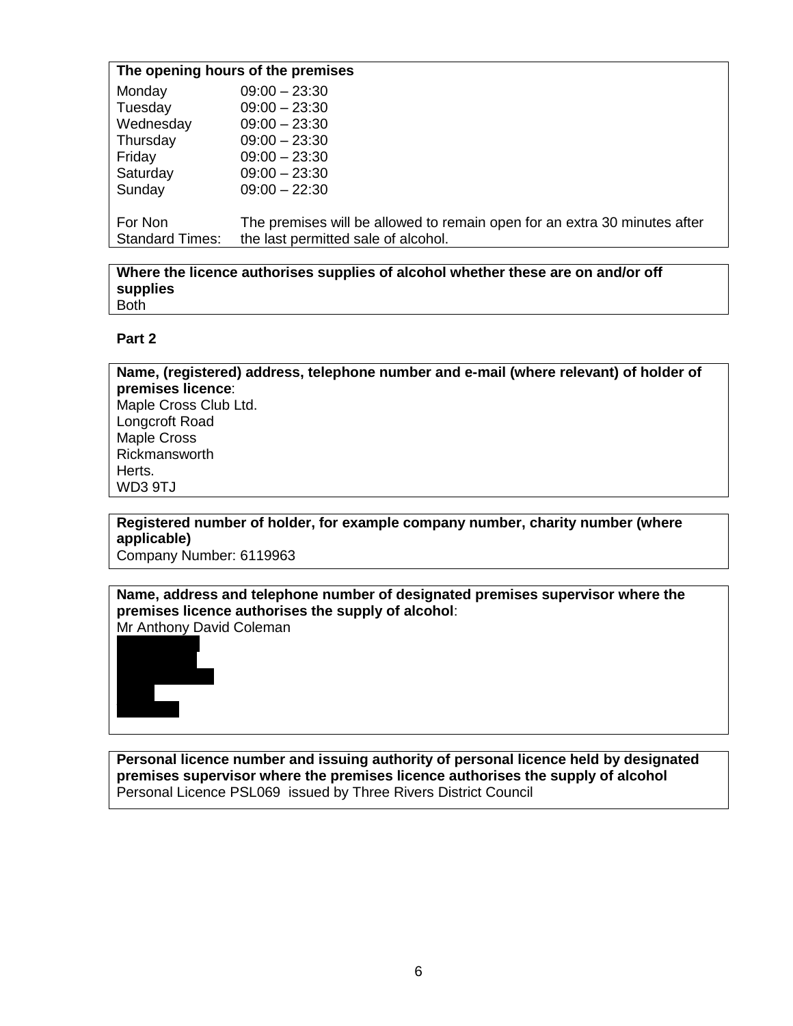#### **The opening hours of the premises**

| Monday                 | $09:00 - 23:30$                                                           |
|------------------------|---------------------------------------------------------------------------|
| Tuesday                | $09:00 - 23:30$                                                           |
| Wednesday              | $09:00 - 23:30$                                                           |
| Thursday               | $09:00 - 23:30$                                                           |
| Friday                 | $09:00 - 23:30$                                                           |
| Saturday               | $09:00 - 23:30$                                                           |
| Sunday                 | $09:00 - 22:30$                                                           |
|                        |                                                                           |
| For Non                | The premises will be allowed to remain open for an extra 30 minutes after |
| <b>Standard Times:</b> | the last permitted sale of alcohol.                                       |
|                        |                                                                           |

**Where the licence authorises supplies of alcohol whether these are on and/or off supplies**

Both

### **Part 2**

**Name, (registered) address, telephone number and e-mail (where relevant) of holder of premises licence**: Maple Cross Club Ltd. Longcroft Road Maple Cross Rickmansworth Herts. WD3 9TJ

# **Registered number of holder, for example company number, charity number (where applicable)**

Company Number: 6119963

**Name, address and telephone number of designated premises supervisor where the premises licence authorises the supply of alcohol**:

Mr Anthony David Coleman



**Personal licence number and issuing authority of personal licence held by designated premises supervisor where the premises licence authorises the supply of alcohol** Personal Licence PSL069 issued by Three Rivers District Council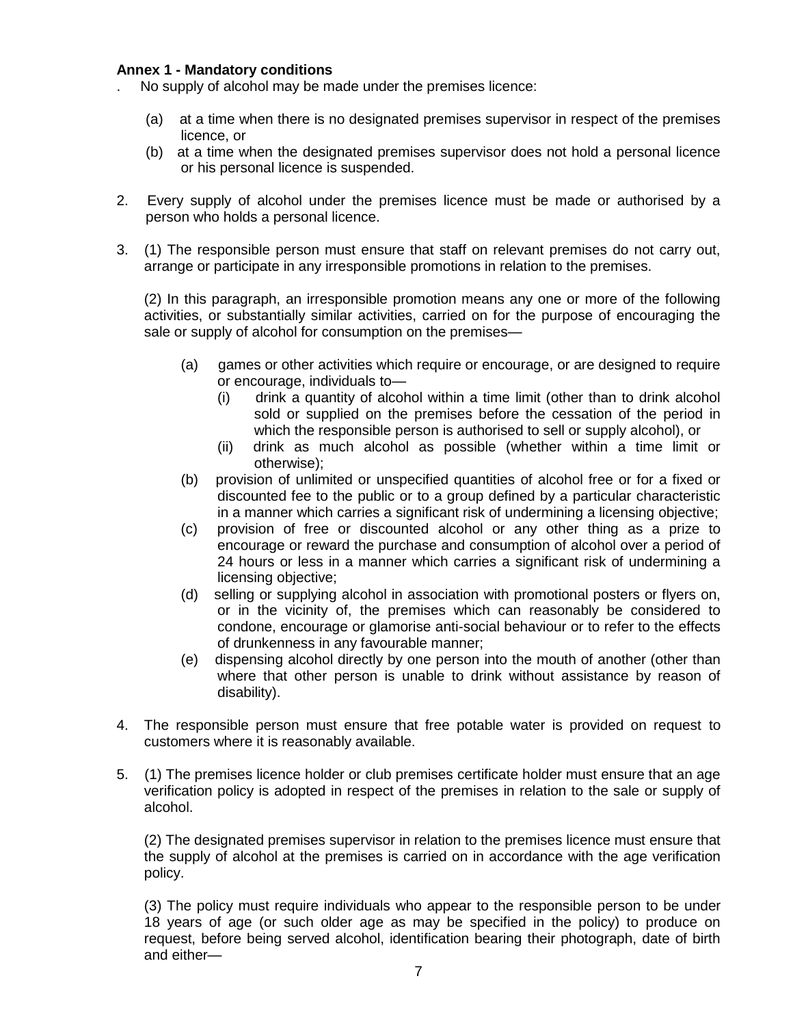#### **Annex 1 - Mandatory conditions**

. No supply of alcohol may be made under the premises licence:

- (a) at a time when there is no designated premises supervisor in respect of the premises licence, or
- (b) at a time when the designated premises supervisor does not hold a personal licence or his personal licence is suspended.
- 2. Every supply of alcohol under the premises licence must be made or authorised by a person who holds a personal licence.
- 3. (1) The responsible person must ensure that staff on relevant premises do not carry out, arrange or participate in any irresponsible promotions in relation to the premises.

(2) In this paragraph, an irresponsible promotion means any one or more of the following activities, or substantially similar activities, carried on for the purpose of encouraging the sale or supply of alcohol for consumption on the premises—

- (a) games or other activities which require or encourage, or are designed to require or encourage, individuals to—
	- (i) drink a quantity of alcohol within a time limit (other than to drink alcohol sold or supplied on the premises before the cessation of the period in which the responsible person is authorised to sell or supply alcohol), or
	- (ii) drink as much alcohol as possible (whether within a time limit or otherwise);
- (b) provision of unlimited or unspecified quantities of alcohol free or for a fixed or discounted fee to the public or to a group defined by a particular characteristic in a manner which carries a significant risk of undermining a licensing objective;
- (c) provision of free or discounted alcohol or any other thing as a prize to encourage or reward the purchase and consumption of alcohol over a period of 24 hours or less in a manner which carries a significant risk of undermining a licensing objective;
- (d) selling or supplying alcohol in association with promotional posters or flyers on, or in the vicinity of, the premises which can reasonably be considered to condone, encourage or glamorise anti-social behaviour or to refer to the effects of drunkenness in any favourable manner;
- (e) dispensing alcohol directly by one person into the mouth of another (other than where that other person is unable to drink without assistance by reason of disability).
- 4. The responsible person must ensure that free potable water is provided on request to customers where it is reasonably available.
- 5. (1) The premises licence holder or club premises certificate holder must ensure that an age verification policy is adopted in respect of the premises in relation to the sale or supply of alcohol.

(2) The designated premises supervisor in relation to the premises licence must ensure that the supply of alcohol at the premises is carried on in accordance with the age verification policy.

(3) The policy must require individuals who appear to the responsible person to be under 18 years of age (or such older age as may be specified in the policy) to produce on request, before being served alcohol, identification bearing their photograph, date of birth and either—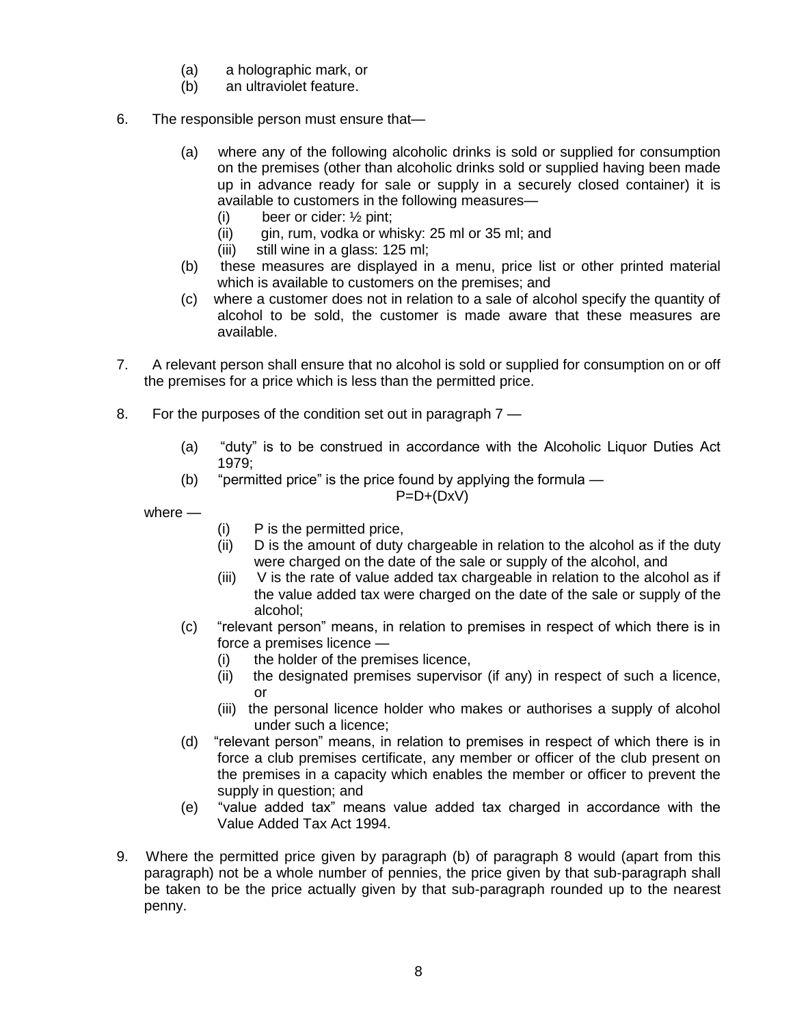- (a) a holographic mark, or
- (b) an ultraviolet feature.
- 6. The responsible person must ensure that—
	- (a) where any of the following alcoholic drinks is sold or supplied for consumption on the premises (other than alcoholic drinks sold or supplied having been made up in advance ready for sale or supply in a securely closed container) it is available to customers in the following measures—
		- (i) beer or cider: ½ pint;
		- (ii) gin, rum, vodka or whisky: 25 ml or 35 ml; and
		- (iii) still wine in a glass: 125 ml;
	- (b) these measures are displayed in a menu, price list or other printed material which is available to customers on the premises; and
	- (c) where a customer does not in relation to a sale of alcohol specify the quantity of alcohol to be sold, the customer is made aware that these measures are available.
- 7. A relevant person shall ensure that no alcohol is sold or supplied for consumption on or off the premises for a price which is less than the permitted price.
- 8. For the purposes of the condition set out in paragraph  $7 -$ 
	- (a) "duty" is to be construed in accordance with the Alcoholic Liquor Duties Act 1979;
	- (b) "permitted price" is the price found by applying the formula —

$$
P=D+(DxV)
$$

where —

- (i) P is the permitted price,
- (ii) D is the amount of duty chargeable in relation to the alcohol as if the duty were charged on the date of the sale or supply of the alcohol, and
- (iii) V is the rate of value added tax chargeable in relation to the alcohol as if the value added tax were charged on the date of the sale or supply of the alcohol;
- (c) "relevant person" means, in relation to premises in respect of which there is in force a premises licence —
	- (i) the holder of the premises licence,
	- (ii) the designated premises supervisor (if any) in respect of such a licence, or
	- (iii) the personal licence holder who makes or authorises a supply of alcohol under such a licence;
- (d) "relevant person" means, in relation to premises in respect of which there is in force a club premises certificate, any member or officer of the club present on the premises in a capacity which enables the member or officer to prevent the supply in question; and
- (e) "value added tax" means value added tax charged in accordance with the Value Added Tax Act 1994.
- 9. Where the permitted price given by paragraph (b) of paragraph 8 would (apart from this paragraph) not be a whole number of pennies, the price given by that sub-paragraph shall be taken to be the price actually given by that sub-paragraph rounded up to the nearest penny.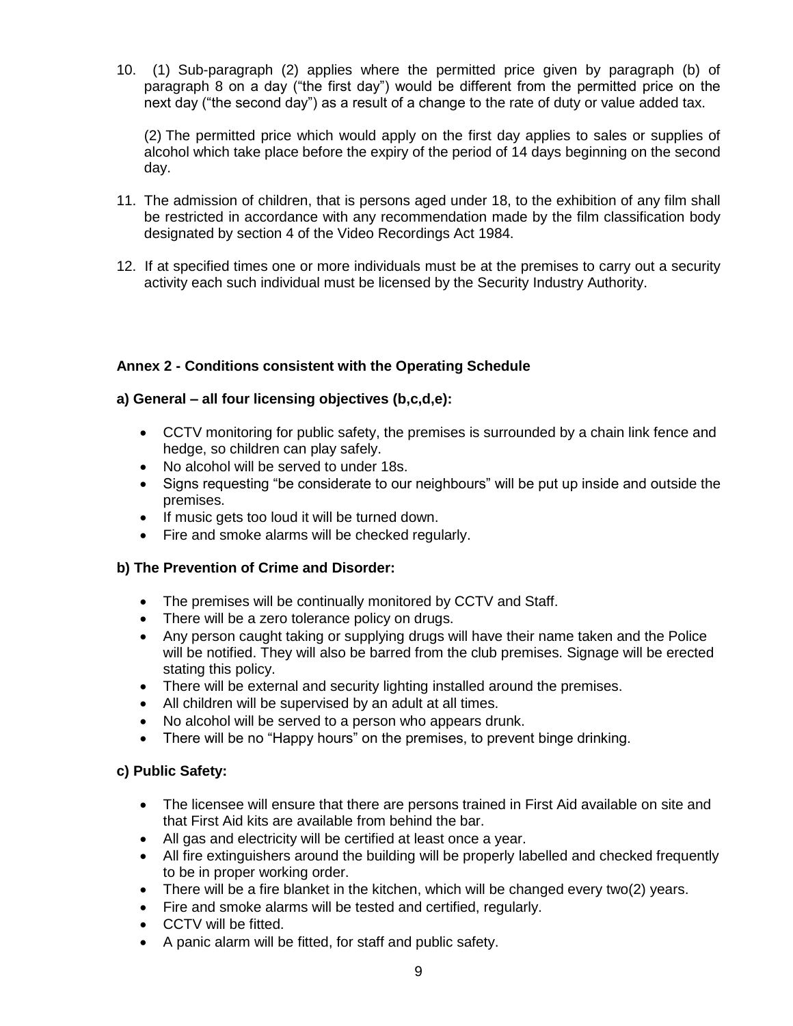10. (1) Sub-paragraph (2) applies where the permitted price given by paragraph (b) of paragraph 8 on a day ("the first day") would be different from the permitted price on the next day ("the second day") as a result of a change to the rate of duty or value added tax.

(2) The permitted price which would apply on the first day applies to sales or supplies of alcohol which take place before the expiry of the period of 14 days beginning on the second day.

- 11. The admission of children, that is persons aged under 18, to the exhibition of any film shall be restricted in accordance with any recommendation made by the film classification body designated by section 4 of the Video Recordings Act 1984.
- 12. If at specified times one or more individuals must be at the premises to carry out a security activity each such individual must be licensed by the Security Industry Authority.

# **Annex 2 - Conditions consistent with the Operating Schedule**

# **a) General – all four licensing objectives (b,c,d,e):**

- CCTV monitoring for public safety, the premises is surrounded by a chain link fence and hedge, so children can play safely.
- No alcohol will be served to under 18s.
- Signs requesting "be considerate to our neighbours" will be put up inside and outside the premises.
- If music gets too loud it will be turned down.
- Fire and smoke alarms will be checked regularly.

# **b) The Prevention of Crime and Disorder:**

- The premises will be continually monitored by CCTV and Staff.
- There will be a zero tolerance policy on drugs.
- Any person caught taking or supplying drugs will have their name taken and the Police will be notified. They will also be barred from the club premises. Signage will be erected stating this policy.
- There will be external and security lighting installed around the premises.
- All children will be supervised by an adult at all times.
- No alcohol will be served to a person who appears drunk.
- There will be no "Happy hours" on the premises, to prevent binge drinking.

# **c) Public Safety:**

- The licensee will ensure that there are persons trained in First Aid available on site and that First Aid kits are available from behind the bar.
- All gas and electricity will be certified at least once a year.
- All fire extinguishers around the building will be properly labelled and checked frequently to be in proper working order.
- There will be a fire blanket in the kitchen, which will be changed every two(2) years.
- Fire and smoke alarms will be tested and certified, regularly.
- CCTV will be fitted.
- A panic alarm will be fitted, for staff and public safety.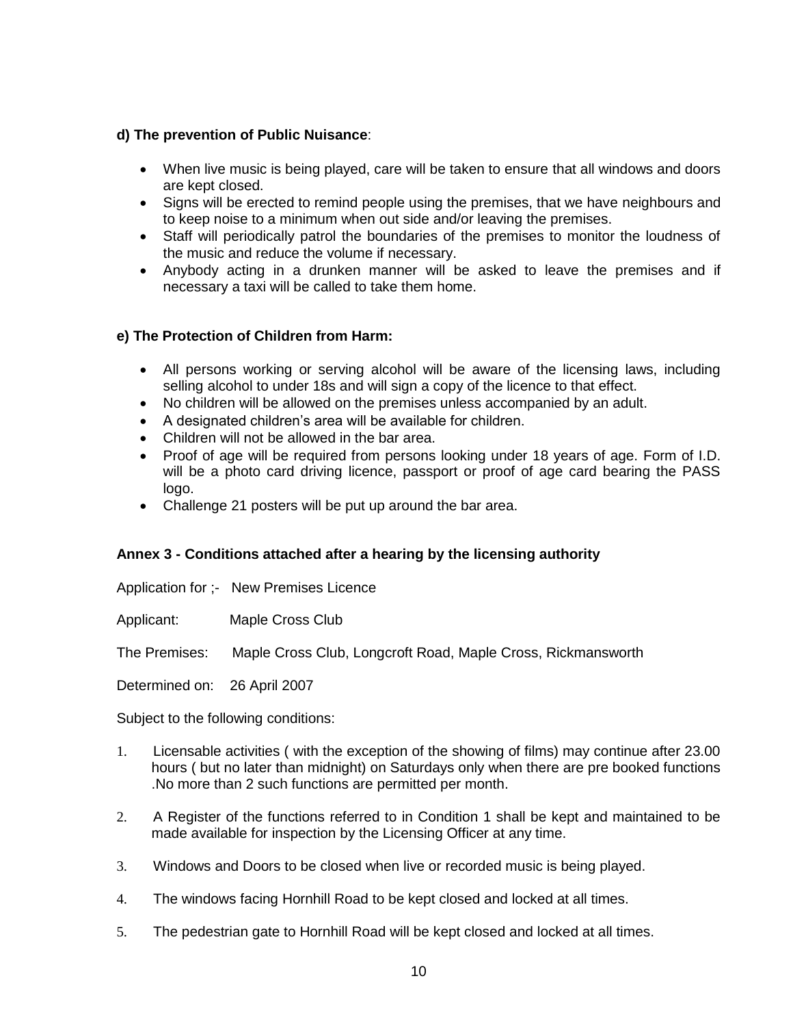# **d) The prevention of Public Nuisance**:

- When live music is being played, care will be taken to ensure that all windows and doors are kept closed.
- Signs will be erected to remind people using the premises, that we have neighbours and to keep noise to a minimum when out side and/or leaving the premises.
- Staff will periodically patrol the boundaries of the premises to monitor the loudness of the music and reduce the volume if necessary.
- Anybody acting in a drunken manner will be asked to leave the premises and if necessary a taxi will be called to take them home.

# **e) The Protection of Children from Harm:**

- All persons working or serving alcohol will be aware of the licensing laws, including selling alcohol to under 18s and will sign a copy of the licence to that effect.
- No children will be allowed on the premises unless accompanied by an adult.
- A designated children's area will be available for children.
- Children will not be allowed in the bar area.
- Proof of age will be required from persons looking under 18 years of age. Form of I.D. will be a photo card driving licence, passport or proof of age card bearing the PASS logo.
- Challenge 21 posters will be put up around the bar area.

# **Annex 3 - Conditions attached after a hearing by the licensing authority**

Application for ;- New Premises Licence

Applicant: Maple Cross Club

The Premises: Maple Cross Club, Longcroft Road, Maple Cross, Rickmansworth

Determined on: 26 April 2007

Subject to the following conditions:

- 1. Licensable activities ( with the exception of the showing of films) may continue after 23.00 hours ( but no later than midnight) on Saturdays only when there are pre booked functions .No more than 2 such functions are permitted per month.
- 2. A Register of the functions referred to in Condition 1 shall be kept and maintained to be made available for inspection by the Licensing Officer at any time.
- 3. Windows and Doors to be closed when live or recorded music is being played.
- 4. The windows facing Hornhill Road to be kept closed and locked at all times.
- 5. The pedestrian gate to Hornhill Road will be kept closed and locked at all times.